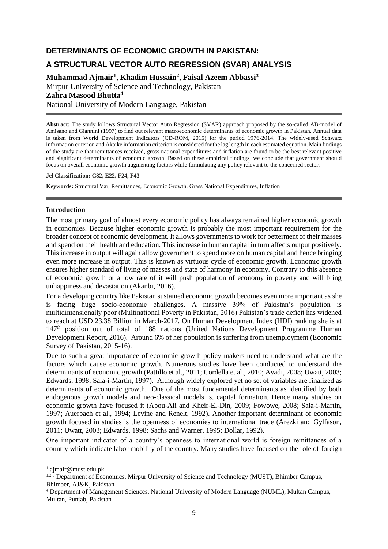## **DETERMINANTS OF ECONOMIC GROWTH IN PAKISTAN:**

# **A STRUCTURAL VECTOR AUTO REGRESSION (SVAR) ANALYSIS**

**Muhammad Ajmair<sup>1</sup> , Khadim Hussain<sup>2</sup> , Faisal Azeem Abbassi<sup>3</sup>** Mirpur University of Science and Technology, Pakistan **Zahra Masood Bhutta<sup>4</sup>** National University of Modern Language, Pakistan

**Abstract:** The study follows Structural Vector Auto Regression (SVAR) approach proposed by the so-called AB-model of Amisano and Giannini (1997) to find out relevant macroeconomic determinants of economic growth in Pakistan. Annual data is taken from World Development Indicators (CD-ROM, 2015) for the period 1976-2014. The widely-used Schwarz information criterion and Akaike information criterion is considered for the lag length in each estimated equation. Main findings of the study are that remittances received, gross national expenditures and inflation are found to be the best relevant positive and significant determinants of economic growth. Based on these empirical findings, we conclude that government should focus on overall economic growth augmenting factors while formulating any policy relevant to the concerned sector.

#### **Jel Classification: C82, E22, F24, F43**

**Keywords:** Structural Var, Remittances, Economic Growth, Grass National Expenditures, Inflation

## **Introduction**

The most primary goal of almost every economic policy has always remained higher economic growth in economies. Because higher economic growth is probably the most important requirement for the broader concept of economic development. It allows governments to work for betterment of their masses and spend on their health and education. This increase in human capital in turn affects output positively. This increase in output will again allow government to spend more on human capital and hence bringing even more increase in output. This is known as virtuous cycle of economic growth. Economic growth ensures higher standard of living of masses and state of harmony in economy. Contrary to this absence of economic growth or a low rate of it will push population of economy in poverty and will bring unhappiness and devastation (Akanbi, 2016).

For a developing country like Pakistan sustained economic growth becomes even more important as she is facing huge socio-economic challenges. A massive 39% of Pakistan's population is multidimensionally poor (Multinational Poverty in Pakistan, 2016) Pakistan's trade deficit has widened to reach at USD 23.38 Billion in March-2017. On Human Development Index (HDI) ranking she is at 147th position out of total of 188 nations (United Nations Development Programme Human Development Report, 2016). Around 6% of her population is suffering from unemployment (Economic Survey of Pakistan, 2015-16).

Due to such a great importance of economic growth policy makers need to understand what are the factors which cause economic growth. Numerous studies have been conducted to understand the determinants of economic growth (Pattillo et al., 2011; Cordella et al., 2010; Ayadi, 2008; Uwatt, 2003; Edwards, 1998; Sala-i-Martin, 1997). Although widely explored yet no set of variables are finalized as determinants of economic growth. One of the most fundamental determinants as identified by both endogenous growth models and neo-classical models is, capital formation. Hence many studies on economic growth have focused it (Abou-Ali and Kheir-El-Din, 2009; Fowowe, 2008; Sala-i-Martin, 1997; Auerbach et al., 1994; Levine and Renelt, 1992). Another important determinant of economic growth focused in studies is the openness of economies to international trade (Arezki and Gylfason, 2011; Uwatt, 2003; Edwards, 1998; Sachs and Warner, 1995; Dollar, 1992).

One important indicator of a country's openness to international world is foreign remittances of a country which indicate labor mobility of the country. Many studies have focused on the role of foreign

 $\overline{a}$ 

<sup>1</sup> ajmair@must.edu.pk

<sup>&</sup>lt;sup>1,2,3</sup> Department of Economics, Mirpur University of Science and Technology (MUST), Bhimber Campus, Bhimber, AJ&K, Pakistan

<sup>4</sup> Department of Management Sciences, National University of Modern Language (NUML), Multan Campus, Multan, Punjab, Pakistan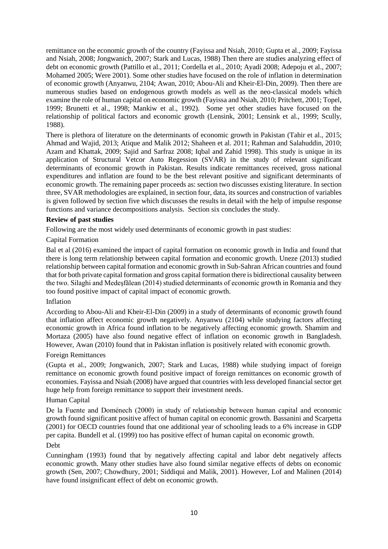remittance on the economic growth of the country (Fayissa and Nsiah, 2010; Gupta et al., 2009; Fayissa and Nsiah, 2008; Jongwanich, 2007; Stark and Lucas, 1988) Then there are studies analyzing effect of debt on economic growth (Pattillo et al., 2011; Cordella et al., 2010; Ayadi 2008; Adepoju et al., 2007; Mohamed 2005; Were 2001). Some other studies have focused on the role of inflation in determination of economic growth (Anyanwu, 2104; Awan, 2010; Abou-Ali and Kheir-El-Din, 2009). Then there are numerous studies based on endogenous growth models as well as the neo-classical models which examine the role of human capital on economic growth (Fayissa and Nsiah, 2010; Pritchett, 2001; Topel, 1999; Brunetti et al., 1998; Mankiw et al., 1992). Some yet other studies have focused on the relationship of political factors and economic growth (Lensink, 2001; Lensink et al., 1999; Scully, 1988).

There is plethora of literature on the determinants of economic growth in Pakistan (Tahir et al., 2015; Ahmad and Wajid, 2013; Atique and Malik 2012; Shaheen et al. 2011; Rahman and Salahuddin, 2010; Azam and Khattak, 2009; Sajid and Sarfraz 2008; Iqbal and Zahid 1998). This study is unique in its application of Structural Vetcor Auto Regession (SVAR) in the study of relevant significant determinants of economic growth in Pakistan. Results indicate remittances received, gross national expenditures and inflation are found to be the best relevant positive and significant determinants of economic growth. The remaining paper proceeds as: section two discusses existing literature. In section three, SVAR methodologies are explained, in section four, data, its sources and construction of variables is given followed by section five which discusses the results in detail with the help of impulse response functions and variance decompositions analysis. Section six concludes the study.

## **Review of past studies**

Following are the most widely used determinants of economic growth in past studies:

## Capital Formation

Bal et al (2016) examined the impact of capital formation on economic growth in India and found that there is long term relationship between capital formation and economic growth. Uneze (2013) studied relationship between capital formation and economic growth in Sub-Sahran African countries and found that for both private capital formation and gross capital formation there is bidirectional causality between the two. Silaghi and Medeşfălean (2014) studied determinants of economic growth in Romania and they too found positive impact of capital impact of economic growth.

## Inflation

According to Abou-Ali and Kheir-El-Din (2009) in a study of determinants of economic growth found that inflation affect economic growth negatively. Anyanwu (2104) while studying factors affecting economic growth in Africa found inflation to be negatively affecting economic growth. Shamim and Mortaza (2005) have also found negative effect of inflation on economic growth in Bangladesh. However, Awan (2010) found that in Pakistan inflation is positively related with economic growth.

## Foreign Remittances

(Gupta et al., 2009; Jongwanich, 2007; Stark and Lucas, 1988) while studying impact of foreign remittance on economic growth found positive impact of foreign remittances on economic growth of economies. Fayissa and Nsiah (2008) have argued that countries with less developed financial sector get huge help from foreign remittance to support their investment needs.

## Human Capital

De la Fuente and Doménech (2000) in study of relationship between human capital and economic growth found significant positive affect of human capital on economic growth. Bassanini and Scarpetta (2001) for OECD countries found that one additional year of schooling leads to a 6% increase in GDP per capita. Bundell et al. (1999) too has positive effect of human capital on economic growth.

## Debt

Cunningham (1993) found that by negatively affecting capital and labor debt negatively affects economic growth. Many other studies have also found similar negative effects of debts on economic growth (Sen, 2007; Chowdhury, 2001; Siddiqui and Malik, 2001). However, Lof and Malinen (2014) have found insignificant effect of debt on economic growth.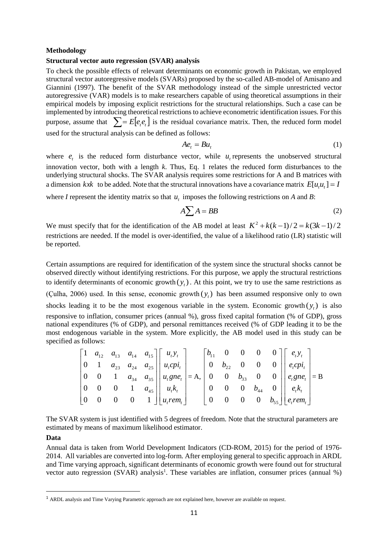### **Methodology**

## **Structural vector auto regression (SVAR) analysis**

To check the possible effects of relevant determinants on economic growth in Pakistan, we employed structural vector autoregressive models (SVARs) proposed by the so-called AB-model of Amisano and Giannini (1997). The benefit of the SVAR methodology instead of the simple unrestricted vector autoregressive (VAR) models is to make researchers capable of using theoretical assumptions in their empirical models by imposing explicit restrictions for the structural relationships. Such a case can be implemented by introducing theoretical restrictions to achieve econometric identification issues. For this purpose, assume that  $\sum_{i=1}^{n} E[e_i, e_i]$  is the residual covariance matrix. Then, the reduced form model used for the structural analysis can be defined as follows:

$$
Ae_t = Bu_t \tag{1}
$$

where  $e_t$  is the reduced form disturbance vector, while  $u_t$  represents the unobserved structural innovation vector, both with a length *k*. Thus, Eq. 1 relates the reduced form disturbances to the underlying structural shocks. The SVAR analysis requires some restrictions for A and B matrices with a dimension kxk to be added. Note that the structural innovations have a covariance matrix  $E[u_i u_i] = I$ 

where *I* represent the identity matrix so that  $u_t$  imposes the following restrictions on *A* and *B*:

$$
A\sum A = BB
$$
 (2)

We must specify that for the identification of the AB model at least  $K^2 + k(k-1)/2 = k(3k-1)/2$ restrictions are needed. If the model is over-identified, the value of a likelihood ratio (LR) statistic will be reported.

Certain assumptions are required for identification of the system since the structural shocks cannot be observed directly without identifying restrictions. For this purpose, we apply the structural restrictions to identify determinants of economic growth  $(y_t)$ . At this point, we try to use the same restrictions as (Çulha, 2006) used. In this sense, economic growth  $(y_t)$  has been assumed responsive only to own shocks leading it to be the most exogenous variable in the system. Economic growth  $(y<sub>t</sub>)$  is also responsive to inflation, consumer prices (annual %), gross fixed capital formation (% of GDP), gross national expenditures (% of GDP), and personal remittances received (% of GDP leading it to be the most endogenous variable in the system. More explicitly, the AB model used in this study can be specified as follows:

|  |  | $\begin{vmatrix} 1 & a_{12} & a_{13} & a_{14} & a_{15} \end{vmatrix}$ $\begin{vmatrix} u_t v_t \end{vmatrix}$                |  |  |  | $ b_{11} \quad 0 \quad 0 \quad 0 \quad 0] \begin{bmatrix} e_i y_i \end{bmatrix}$                        |  |
|--|--|------------------------------------------------------------------------------------------------------------------------------|--|--|--|---------------------------------------------------------------------------------------------------------|--|
|  |  | 0 1 $a_{23}$ $a_{24}$ $a_{25}$   $u_{i}cpi_{i}$                                                                              |  |  |  | $\begin{vmatrix} 0 & b_{22} & 0 & 0 & 0 \end{vmatrix}$ $\begin{vmatrix} e_i cpi_i \\ e_i \end{vmatrix}$ |  |
|  |  | $\begin{vmatrix} 0 & 0 & 1 & a_{34} & a_{35} \end{vmatrix}$ $\begin{vmatrix} u_t g n e_t \\ u_t g n e_t \end{vmatrix} = A$ , |  |  |  | $\begin{vmatrix} 0 & 0 & b_{33} & 0 & 0 \end{vmatrix}$ $e_t g n e_t$ = B                                |  |
|  |  | $\begin{bmatrix} 0 & 0 & 0 & 1 & a_{45} \end{bmatrix}$ $\begin{bmatrix} u_i k_i \end{bmatrix}$                               |  |  |  | $\begin{vmatrix} 0 & 0 & 0 & b_{44} & 0 \end{vmatrix}$ $e_{t}k_{t}$                                     |  |
|  |  | $\begin{vmatrix} 0 & 0 & 0 & 0 & 1 \end{vmatrix}$ $\begin{vmatrix} u_i$ rem,                                                 |  |  |  | 0 0 0 0 $b_{55}$   $e_{r}$ em.                                                                          |  |

The SVAR system is just identified with 5 degrees of freedom. Note that the structural parameters are estimated by means of maximum likelihood estimator.

### **Data**

1

Annual data is taken from World Development Indicators (CD-ROM, 2015) for the period of 1976- 2014. All variables are converted into log-form. After employing general to specific approach in ARDL and Time varying approach, significant determinants of economic growth were found out for structural vector auto regression (SVAR) analysis<sup>1</sup>. These variables are inflation, consumer prices (annual %)

<sup>1</sup> ARDL analysis and Time Varying Parametric approach are not explained here, however are available on request.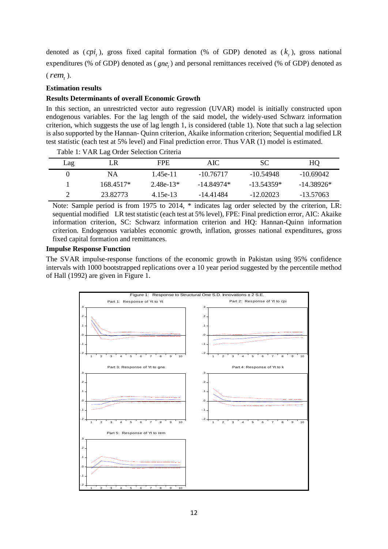denoted as  $\langle cpi_i \rangle$ , gross fixed capital formation (% of GDP) denoted as  $(k_i)$ , gross national expenditures (% of GDP) denoted as (*gne<sub>t</sub>*) and personal remittances received (% of GDP) denoted as

 $(\textit{rem}_t)$ .

### **Estimation results**

## **Results Determinants of overall Economic Growth**

In this section, an unrestricted vector auto regression (UVAR) model is initially constructed upon endogenous variables. For the lag length of the said model, the widely-used Schwarz information criterion, which suggests the use of lag length 1, is considered (table 1). Note that such a lag selection is also supported by the Hannan- Quinn criterion, Akaike information criterion; Sequential modified LR test statistic (each test at 5% level) and Final prediction error. Thus VAR (1) model is estimated.

| Lag | LR          | FPE.        | AIC-        | SС           | HQ           |
|-----|-------------|-------------|-------------|--------------|--------------|
|     | ΝA          | 145e-11     | $-10.76717$ | -10.54948    | $-10.69042$  |
|     | $168.4517*$ | $2.48e-13*$ | -14.84974*  | $-13.54359*$ | $-14.38926*$ |
|     | 23.82773    | 4.15e-13    | -14.41484   | -12.02023    | -13.57063    |

Table 1: VAR Lag Order Selection Criteria

Note: Sample period is from 1975 to 2014, \* indicates lag order selected by the criterion, LR: sequential modified LR test statistic (each test at 5% level), FPE: Final prediction error, AIC: Akaike information criterion, SC: Schwarz information criterion and HQ: Hannan-Quinn information criterion. Endogenous variables economic growth, inflation, grosses national expenditures, gross fixed capital formation and remittances.

### **Impulse Response Function**

The SVAR impulse-response functions of the economic growth in Pakistan using 95% confidence intervals with 1000 bootstrapped replications over a 10 year period suggested by the percentile method of Hall (1992) are given in Figure 1.

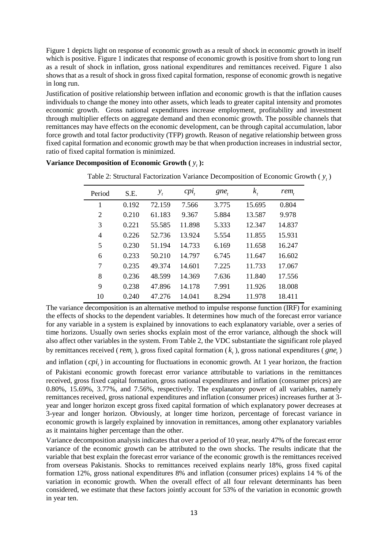Figure 1 depicts light on response of economic growth as a result of shock in economic growth in itself which is positive. Figure 1 indicates that response of economic growth is positive from short to long run as a result of shock in inflation, gross national expenditures and remittances received. Figure 1 also shows that as a result of shock in gross fixed capital formation, response of economic growth is negative in long run.

Justification of positive relationship between inflation and economic growth is that the inflation causes individuals to change the money into other assets, which leads to greater capital intensity and promotes economic growth. Gross national expenditures increase employment, profitability and investment through multiplier effects on aggregate demand and then economic growth. The possible channels that remittances may have effects on the economic development, can be through capital accumulation, labor force growth and total factor productivity (TFP) growth. Reason of negative relationship between gross fixed capital formation and economic growth may be that when production increases in industrial sector, ratio of fixed capital formation is minimized.

| Period | S.E.  | $y_t$  | $cpi_{t}$ | $gne_{t}$ | $k_{i}$ | $rem_t$ |
|--------|-------|--------|-----------|-----------|---------|---------|
| 1      | 0.192 | 72.159 | 7.566     | 3.775     | 15.695  | 0.804   |
| 2      | 0.210 | 61.183 | 9.367     | 5.884     | 13.587  | 9.978   |
| 3      | 0.221 | 55.585 | 11.898    | 5.333     | 12.347  | 14.837  |
| 4      | 0.226 | 52.736 | 13.924    | 5.554     | 11.855  | 15.931  |
| 5      | 0.230 | 51.194 | 14.733    | 6.169     | 11.658  | 16.247  |
| 6      | 0.233 | 50.210 | 14.797    | 6.745     | 11.647  | 16.602  |
| 7      | 0.235 | 49.374 | 14.601    | 7.225     | 11.733  | 17.067  |
| 8      | 0.236 | 48.599 | 14.369    | 7.636     | 11.840  | 17.556  |
| 9      | 0.238 | 47.896 | 14.178    | 7.991     | 11.926  | 18.008  |
| 10     | 0.240 | 47.276 | 14.041    | 8.294     | 11.978  | 18.411  |

**Variance Decomposition of Economic Growth**  $(y_t)$ **:** 

The variance decomposition is an alternative method to impulse response function (IRF) for examining the effects of shocks to the dependent variables. It determines how much of the forecast error variance for any variable in a system is explained by innovations to each explanatory variable, over a series of time horizons. Usually own series shocks explain most of the error variance, although the shock will also affect other variables in the system. From Table 2, the VDC substantiate the significant role played by remittances received (*rem<sub>t</sub>*), gross fixed capital formation ( $k<sub>t</sub>$ ), gross national expenditures (*gne<sub>t</sub>*)

and inflation  $(cpi_i)$  in accounting for fluctuations in economic growth. At 1 year horizon, the fraction

of Pakistani economic growth forecast error variance attributable to variations in the remittances received, gross fixed capital formation, gross national expenditures and inflation (consumer prices) are 0.80%, 15.69%, 3.77%, and 7.56%, respectively. The explanatory power of all variables, namely remittances received, gross national expenditures and inflation (consumer prices) increases further at 3 year and longer horizon except gross fixed capital formation of which explanatory power decreases at 3-year and longer horizon. Obviously, at longer time horizon, percentage of forecast variance in economic growth is largely explained by innovation in remittances, among other explanatory variables as it maintains higher percentage than the other.

Variance decomposition analysis indicates that over a period of 10 year, nearly 47% of the forecast error variance of the economic growth can be attributed to the own shocks. The results indicate that the variable that best explain the forecast error variance of the economic growth is the remittances received from overseas Pakistanis. Shocks to remittances received explains nearly 18%, gross fixed capital formation 12%, gross national expenditures 8% and inflation (consumer prices) explains 14 % of the variation in economic growth. When the overall effect of all four relevant determinants has been considered, we estimate that these factors jointly account for 53% of the variation in economic growth in year ten.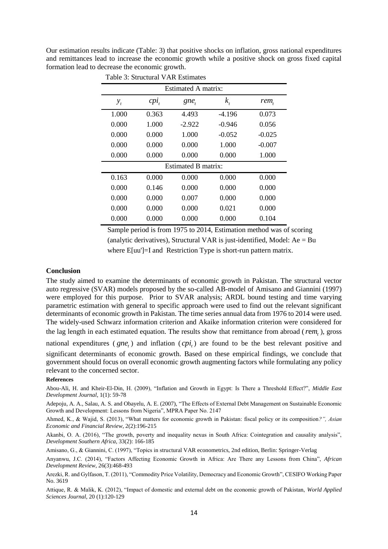Our estimation results indicate (Table: 3) that positive shocks on inflation, gross national expenditures and remittances lead to increase the economic growth while a positive shock on gross fixed capital formation lead to decrease the economic growth.

| Estimated A matrix: |         |          |          |          |  |  |  |  |  |
|---------------------|---------|----------|----------|----------|--|--|--|--|--|
| $y_{t}$             | $cpi_t$ | gne,     | $k_{i}$  | rem,     |  |  |  |  |  |
| 1.000               | 0.363   | 4.493    | $-4.196$ | 0.073    |  |  |  |  |  |
| 0.000               | 1.000   | $-2.922$ | $-0.946$ | 0.056    |  |  |  |  |  |
| 0.000               | 0.000   | 1.000    | $-0.052$ | $-0.025$ |  |  |  |  |  |
| 0.000               | 0.000   | 0.000    | 1.000    | $-0.007$ |  |  |  |  |  |
| 0.000               | 0.000   | 0.000    | 0.000    | 1.000    |  |  |  |  |  |
| Estimated B matrix: |         |          |          |          |  |  |  |  |  |
| 0.163               | 0.000   | 0.000    | 0.000    | 0.000    |  |  |  |  |  |
| 0.000               | 0.146   | 0.000    | 0.000    | 0.000    |  |  |  |  |  |
| 0.000               | 0.000   | 0.007    | 0.000    | 0.000    |  |  |  |  |  |
| 0.000               | 0.000   | 0.000    | 0.021    | 0.000    |  |  |  |  |  |
| 0.000               | 0.000   | 0.000    | 0.000    | 0.104    |  |  |  |  |  |

Table 3: Structural VAR Estimates

 Sample period is from 1975 to 2014, Estimation method was of scoring (analytic derivatives), Structural VAR is just-identified, Model:  $Ae = Bu$ where E[uu']=I and Restriction Type is short-run pattern matrix.

### **Conclusion**

The study aimed to examine the determinants of economic growth in Pakistan. The structural vector auto regressive (SVAR) models proposed by the so-called AB-model of Amisano and Giannini (1997) were employed for this purpose. Prior to SVAR analysis; ARDL bound testing and time varying parametric estimation with general to specific approach were used to find out the relevant significant determinants of economic growth in Pakistan. The time series annual data from 1976 to 2014 were used. The widely-used Schwarz information criterion and Akaike information criterion were considered for the lag length in each estimated equation. The results show that remittance from abroad ( $rem<sub>t</sub>$ ), gross

national expenditures ( $gne<sub>t</sub>$ ) and inflation ( $cpi<sub>t</sub>$ ) are found to be the best relevant positive and significant determinants of economic growth. Based on these empirical findings, we conclude that government should focus on overall economic growth augmenting factors while formulating any policy relevant to the concerned sector.

#### **References**

Abou-Ali, H. and Kheir-El-Din, H. (2009), "Inflation and Growth in Egypt: Is There a Threshold Effect?", *Middle East Development Journal*, 1(1): 59-78

Adepoju, A. A., Salau, A. S. and Obayelu, A. E. (2007), "The Effects of External Debt Management on Sustainable Economic Growth and Development: Lessons from Nigeria", MPRA Paper No. 2147

Ahmed, K., & Wajid, S. (2013), "What matters for economic growth in Pakistan: fiscal policy or its composition*?", Asian Economic and Financial Review*, 2(2):196-215

Akanbi, O. A. (2016), "The growth, poverty and inequality nexus in South Africa: Cointegration and causality analysis", *Development Southern Africa*, 33(2): 166-185

Amisano, G., & Giannini, C. (1997), "Topics in structural VAR econometrics, 2nd edition, Berlin: Springer-Verlag

Anyanwu, J.C. (2014), "Factors Affecting Economic Growth in Africa: Are There any Lessons from China", *African Development Review*, 26(3):468-493

Arezki, R. and Gylfason, T. (2011), "Commodity Price Volatility, Democracy and Economic Growth", CESIFO Working Paper No. 3619

Attique, R. & Malik, K. (2012), "Impact of domestic and external debt on the economic growth of Pakistan, *World Applied Sciences Journal*, 20 (1):120-129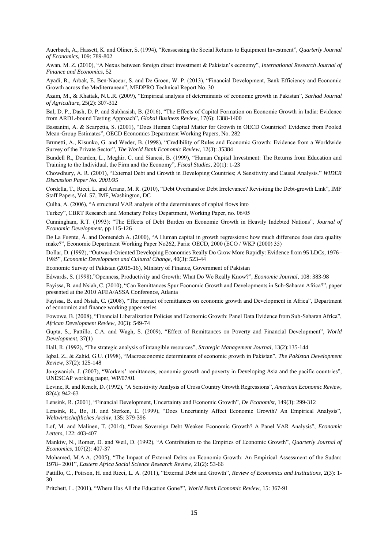Auerbach, A., Hassett, K. and Oliner, S. (1994), "Reassessing the Social Returns to Equipment Investment", *Quarterly Journal of Economics*, 109: 789-802

Awan, M. Z. (2010), "A Nexus between foreign direct investment & Pakistan's economy", *International Research Journal of Finance and Economics*, 52

Ayadi, R., Arbak, E. Ben-Naceur, S. and De Groen, W. P. (2013), "Financial Development, Bank Efficiency and Economic Growth across the Mediterranean", MEDPRO Technical Report No. 30

Azam, M., & Khattak, N.U.R. (2009), "Empirical analysis of determinants of economic growth in Pakistan", *Sarhad Journal of Agriculture*, 25(2): 307-312

Bal, D. P., Dash, D. P. and Subhasish, B. (2016), "The Effects of Capital Formation on Economic Growth in India: Evidence from ARDL-bound Testing Approach", *Global Business Review*, 17(6): 1388-1400

Bassanini, A. & Scarpetta, S. (2001), "Does Human Capital Matter for Growth in OECD Countries? Evidence from Pooled Mean-Group Estimates", OECD Economics Department Working Papers, No. 282

Brunetti, A., Kisunko, G. and Weder, B. (1998), "Credibility of Rules and Economic Growth: Evidence from a Worldwide Survey of the Private Sector", *The World Bank Economic Review*, 12(3): 35384

Bundell R., Dearden, L., Meghir, C. and Sianesi, B. (1999), "Human Capital Investment: The Returns from Education and Training to the Individual, the Firm and the Economy", *Fiscal Studies*, 20(1): 1-23

Chowdhury, A. R. (2001), "External Debt and Growth in Developing Countries; A Sensitivity and Causal Analysis." *WIDER Discussion Paper No. 2001/95*

Cordella, T., Ricci, L. and Arranz, M. R. (2010), "Debt Overhand or Debt Irrelevance? Revisiting the Debt-growth Link", IMF Staff Papers, Vol. 57, IMF, Washington, DC

Çulha, A. (2006), "A structural VAR analysis of the determinants of capital flows into

Turkey", CBRT Research and Monetary Policy Department, Working Paper, no. 06/05

Cunningham, R.T. (1993): "The Effects of Debt Burden on Economic Growth in Heavily Indebted Nations", *Journal of Economic Development*, pp 115-126

De La Fuente, Á. and Domenéch A. (2000), "A Human capital in growth regressions: how much difference does data quality make?", Economic Department Working Paper No262, Paris: OECD, 2000 (ECO / WKP (2000) 35)

Dollar, D. (1992), "Outward-Oriented Developing Economies Really Do Grow More Rapidly: Evidence from 95 LDCs, 1976– 1985", *Economic Development and Cultural Change*, 40(3): 523-44

Economic Survey of Pakistan (2015-16), Ministry of Finance, Government of Pakistan

Edwards, S. (1998),"Openness, Productivity and Growth: What Do We Really Know?", *Economic Journal*, 108: 383-98

Fayissa, B. and Nsiah, C. (2010), "Can Remittances Spur Economic Growth and Developments in Sub-Saharan Africa?", paper presented at the 2010 AFEA/ASSA Conference, Atlanta

Fayissa, B. and Nsiah, C. (2008), "The impact of remittances on economic growth and Development in Africa", Department of economics and finance working paper series

Fowowe, B. (2008), "Financial Liberalization Policies and Economic Growth: Panel Data Evidence from Sub-Saharan Africa", *African Development Review*, 20(3): 549-74

Gupta, S., Pattillo, C.A. and Wagh, S. (2009), "Effect of Remittances on Poverty and Financial Development", *World Development,* 37(1)

Hall, R. (1992), "The strategic analysis of intangible resources", *Strategic Management Journal*, 13(2):135-144

Iqbal, Z., & Zahid, G.U. (1998), "Macroeconomic determinants of economic growth in Pakistan", *The Pakistan Development Review*, 37(2): 125-148

Jongwanich, J. (2007), "Workers' remittances, economic growth and poverty in Developing Asia and the pacific countries", UNESCAP working paper, WP/07/01

Levine, R. and Renelt, D. (1992), "A Sensitivity Analysis of Cross Country Growth Regressions", *American Economic Review*, 82(4): 942-63

Lensink, R. (2001), "Financial Development, Uncertainty and Economic Growth", *De Economist*, 149(3): 299-312

Lensink, R., Bo, H. and Sterken, E. (1999), "Does Uncertainty Affect Economic Growth? An Empirical Analysis", *Weltwirtschaftliches Archiv*, 135: 379-396

Lof, M. and Malinen, T. (2014), "Does Sovereign Debt Weaken Economic Growth? A Panel VAR Analysis", *Economic Letters*, 122: 403-407

Mankiw, N., Romer, D. and Weil, D. (1992), "A Contribution to the Empirics of Economic Growth", *Quarterly Journal of Economics*, 107(2): 407-37

Mohamed, M.A.A. (2005), "The Impact of External Debts on Economic Growth: An Empirical Assessment of the Sudan: 1978– 2001", *Eastern Africa Social Science Research Review*, 21(2): 53-66

Pattillo, C., Poirson, H. and Ricci, L. A. (2011), "External Debt and Growth", *Review of Economics and Institutions*, 2(3): 1- 30

Pritchett, L. (2001), "Where Has All the Education Gone?", *World Bank Economic Review*, 15: 367-91